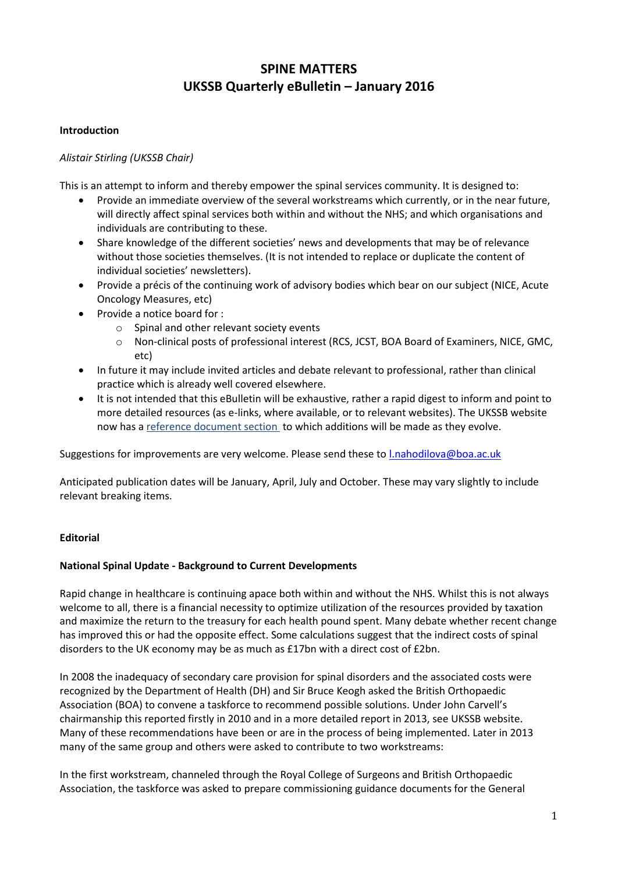# **SPINE MATTERS UKSSB Quarterly eBulletin – January 2016**

## **Introduction**

## *Alistair Stirling (UKSSB Chair)*

This is an attempt to inform and thereby empower the spinal services community. It is designed to:

- Provide an immediate overview of the several workstreams which currently, or in the near future, will directly affect spinal services both within and without the NHS; and which organisations and individuals are contributing to these.
- Share knowledge of the different societies' news and developments that may be of relevance without those societies themselves. (It is not intended to replace or duplicate the content of individual societies' newsletters).
- Provide a précis of the continuing work of advisory bodies which bear on our subject (NICE, Acute Oncology Measures, etc)
- Provide a notice board for :
	- o Spinal and other relevant society events
	- o Non-clinical posts of professional interest (RCS, JCST, BOA Board of Examiners, NICE, GMC, etc)
- In future it may include invited articles and debate relevant to professional, rather than clinical practice which is already well covered elsewhere.
- It is not intended that this eBulletin will be exhaustive, rather a rapid digest to inform and point to more detailed resources (as e-links, where available, or to relevant websites). The UKSSB website now has a reference document section to which additions will be made as they evolve.

Suggestions for improvements are very welcome. Please send these to [l.nahodilova@boa.ac.uk](mailto:l.nahodilova@boa.ac.uk)

Anticipated publication dates will be January, April, July and October. These may vary slightly to include relevant breaking items.

### **Editorial**

### **National Spinal Update - Background to Current Developments**

Rapid change in healthcare is continuing apace both within and without the NHS. Whilst this is not always welcome to all, there is a financial necessity to optimize utilization of the resources provided by taxation and maximize the return to the treasury for each health pound spent. Many debate whether recent change has improved this or had the opposite effect. Some calculations suggest that the indirect costs of spinal disorders to the UK economy may be as much as £17bn with a direct cost of £2bn.

In 2008 the inadequacy of secondary care provision for spinal disorders and the associated costs were recognized by the Department of Health (DH) and Sir Bruce Keogh asked the British Orthopaedic Association (BOA) to convene a taskforce to recommend possible solutions. Under John Carvell's chairmanship this reported firstly in 2010 and in a more detailed report in 2013, see UKSSB website. Many of these recommendations have been or are in the process of being implemented. Later in 2013 many of the same group and others were asked to contribute to two workstreams:

In the first workstream, channeled through the Royal College of Surgeons and British Orthopaedic Association, the taskforce was asked to prepare commissioning guidance documents for the General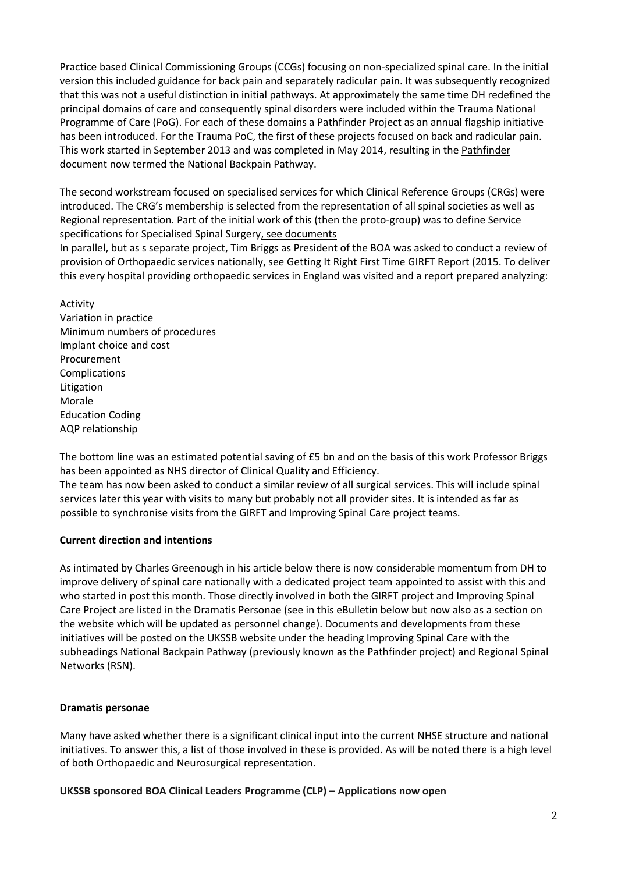Practice based Clinical Commissioning Groups (CCGs) focusing on non-specialized spinal care. In the initial version this included guidance for back pain and separately radicular pain. It was subsequently recognized that this was not a useful distinction in initial pathways. At approximately the same time DH redefined the principal domains of care and consequently spinal disorders were included within the Trauma National Programme of Care (PoG). For each of these domains a Pathfinder Project as an annual flagship initiative has been introduced. For the Trauma PoC, the first of these projects focused on back and radicular pain. This work started in September 2013 and was completed in May 2014, resulting in the Pathfinder document now termed the National Backpain Pathway.

The second workstream focused on specialised services for which Clinical Reference Groups (CRGs) were introduced. The CRG's membership is selected from the representation of all spinal societies as well as Regional representation. Part of the initial work of this (then the proto-group) was to define Service specifications for Specialised Spinal Surgery, see documents

In parallel, but as s separate project, Tim Briggs as President of the BOA was asked to conduct a review of provision of Orthopaedic services nationally, see Getting It Right First Time GIRFT Report (2015. To deliver this every hospital providing orthopaedic services in England was visited and a report prepared analyzing:

Activity Variation in practice Minimum numbers of procedures Implant choice and cost Procurement Complications Litigation Morale Education Coding AQP relationship

The bottom line was an estimated potential saving of £5 bn and on the basis of this work Professor Briggs has been appointed as NHS director of Clinical Quality and Efficiency.

The team has now been asked to conduct a similar review of all surgical services. This will include spinal services later this year with visits to many but probably not all provider sites. It is intended as far as possible to synchronise visits from the GIRFT and Improving Spinal Care project teams.

# **Current direction and intentions**

As intimated by Charles Greenough in his article below there is now considerable momentum from DH to improve delivery of spinal care nationally with a dedicated project team appointed to assist with this and who started in post this month. Those directly involved in both the GIRFT project and Improving Spinal Care Project are listed in the Dramatis Personae (see in this eBulletin below but now also as a section on the website which will be updated as personnel change). Documents and developments from these initiatives will be posted on the UKSSB website under the heading Improving Spinal Care with the subheadings National Backpain Pathway (previously known as the Pathfinder project) and Regional Spinal Networks (RSN).

### **Dramatis personae**

Many have asked whether there is a significant clinical input into the current NHSE structure and national initiatives. To answer this, a list of those involved in these is provided. As will be noted there is a high level of both Orthopaedic and Neurosurgical representation.

**UKSSB sponsored BOA Clinical Leaders Programme (CLP) – Applications now open**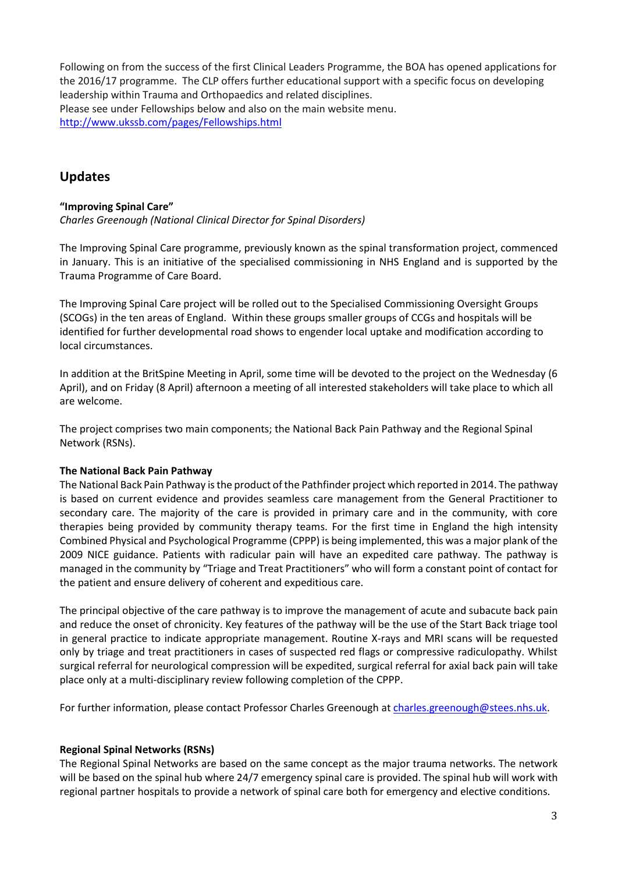Following on from the success of the first Clinical Leaders Programme, the BOA has opened applications for the 2016/17 programme. The CLP offers further educational support with a specific focus on developing leadership within Trauma and Orthopaedics and related disciplines. Please see under Fellowships below and also on the main website menu. <http://www.ukssb.com/pages/Fellowships.html>

# **Updates**

# **"Improving Spinal Care"** *Charles Greenough (National Clinical Director for Spinal Disorders)*

The Improving Spinal Care programme, previously known as the spinal transformation project, commenced in January. This is an initiative of the specialised commissioning in NHS England and is supported by the Trauma Programme of Care Board.

The Improving Spinal Care project will be rolled out to the Specialised Commissioning Oversight Groups (SCOGs) in the ten areas of England. Within these groups smaller groups of CCGs and hospitals will be identified for further developmental road shows to engender local uptake and modification according to local circumstances.

In addition at the BritSpine Meeting in April, some time will be devoted to the project on the Wednesday (6 April), and on Friday (8 April) afternoon a meeting of all interested stakeholders will take place to which all are welcome.

The project comprises two main components; the National Back Pain Pathway and the Regional Spinal Network (RSNs).

# **The National Back Pain Pathway**

The National Back Pain Pathway is the product of the Pathfinder project which reported in 2014. The pathway is based on current evidence and provides seamless care management from the General Practitioner to secondary care. The majority of the care is provided in primary care and in the community, with core therapies being provided by community therapy teams. For the first time in England the high intensity Combined Physical and Psychological Programme (CPPP) is being implemented, this was a major plank of the 2009 NICE guidance. Patients with radicular pain will have an expedited care pathway. The pathway is managed in the community by "Triage and Treat Practitioners" who will form a constant point of contact for the patient and ensure delivery of coherent and expeditious care.

The principal objective of the care pathway is to improve the management of acute and subacute back pain and reduce the onset of chronicity. Key features of the pathway will be the use of the Start Back triage tool in general practice to indicate appropriate management. Routine X-rays and MRI scans will be requested only by triage and treat practitioners in cases of suspected red flags or compressive radiculopathy. Whilst surgical referral for neurological compression will be expedited, surgical referral for axial back pain will take place only at a multi-disciplinary review following completion of the CPPP.

For further information, please contact Professor Charles Greenough at [charles.greenough@stees.nhs.uk.](mailto:charles.greenough@stees.nhs.uk)

# **Regional Spinal Networks (RSNs)**

The Regional Spinal Networks are based on the same concept as the major trauma networks. The network will be based on the spinal hub where 24/7 emergency spinal care is provided. The spinal hub will work with regional partner hospitals to provide a network of spinal care both for emergency and elective conditions.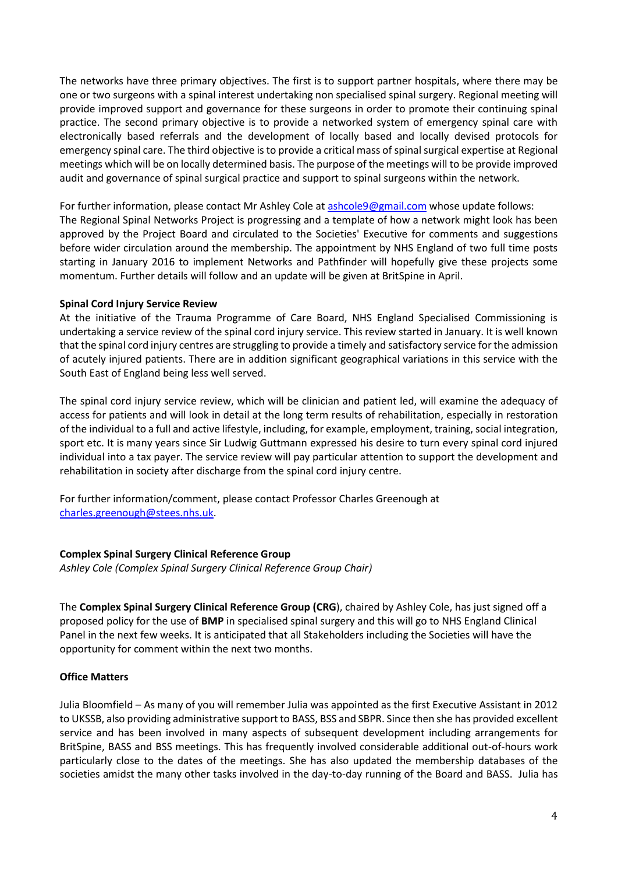The networks have three primary objectives. The first is to support partner hospitals, where there may be one or two surgeons with a spinal interest undertaking non specialised spinal surgery. Regional meeting will provide improved support and governance for these surgeons in order to promote their continuing spinal practice. The second primary objective is to provide a networked system of emergency spinal care with electronically based referrals and the development of locally based and locally devised protocols for emergency spinal care. The third objective is to provide a critical mass of spinal surgical expertise at Regional meetings which will be on locally determined basis. The purpose of the meetings will to be provide improved audit and governance of spinal surgical practice and support to spinal surgeons within the network.

For further information, please contact Mr Ashley Cole at [ashcole9@gmail.com](mailto:ashcole9@gmail.com) whose update follows: The Regional Spinal Networks Project is progressing and a template of how a network might look has been approved by the Project Board and circulated to the Societies' Executive for comments and suggestions before wider circulation around the membership. The appointment by NHS England of two full time posts starting in January 2016 to implement Networks and Pathfinder will hopefully give these projects some momentum. Further details will follow and an update will be given at BritSpine in April.

### **Spinal Cord Injury Service Review**

At the initiative of the Trauma Programme of Care Board, NHS England Specialised Commissioning is undertaking a service review of the spinal cord injury service. This review started in January. It is well known that the spinal cord injury centres are struggling to provide a timely and satisfactory service for the admission of acutely injured patients. There are in addition significant geographical variations in this service with the South East of England being less well served.

The spinal cord injury service review, which will be clinician and patient led, will examine the adequacy of access for patients and will look in detail at the long term results of rehabilitation, especially in restoration of the individual to a full and active lifestyle, including, for example, employment, training, social integration, sport etc. It is many years since Sir Ludwig Guttmann expressed his desire to turn every spinal cord injured individual into a tax payer. The service review will pay particular attention to support the development and rehabilitation in society after discharge from the spinal cord injury centre.

For further information/comment, please contact Professor Charles Greenough at [charles.greenough@stees.nhs.uk.](mailto:charles.greenough@stees.nhs.uk)

# **Complex Spinal Surgery Clinical Reference Group**

*Ashley Cole (Complex Spinal Surgery Clinical Reference Group Chair)*

The **Complex Spinal Surgery Clinical Reference Group (CRG**), chaired by Ashley Cole, has just signed off a proposed policy for the use of **BMP** in specialised spinal surgery and this will go to NHS England Clinical Panel in the next few weeks. It is anticipated that all Stakeholders including the Societies will have the opportunity for comment within the next two months.

### **Office Matters**

Julia Bloomfield – As many of you will remember Julia was appointed as the first Executive Assistant in 2012 to UKSSB, also providing administrative support to BASS, BSS and SBPR. Since then she has provided excellent service and has been involved in many aspects of subsequent development including arrangements for BritSpine, BASS and BSS meetings. This has frequently involved considerable additional out-of-hours work particularly close to the dates of the meetings. She has also updated the membership databases of the societies amidst the many other tasks involved in the day-to-day running of the Board and BASS. Julia has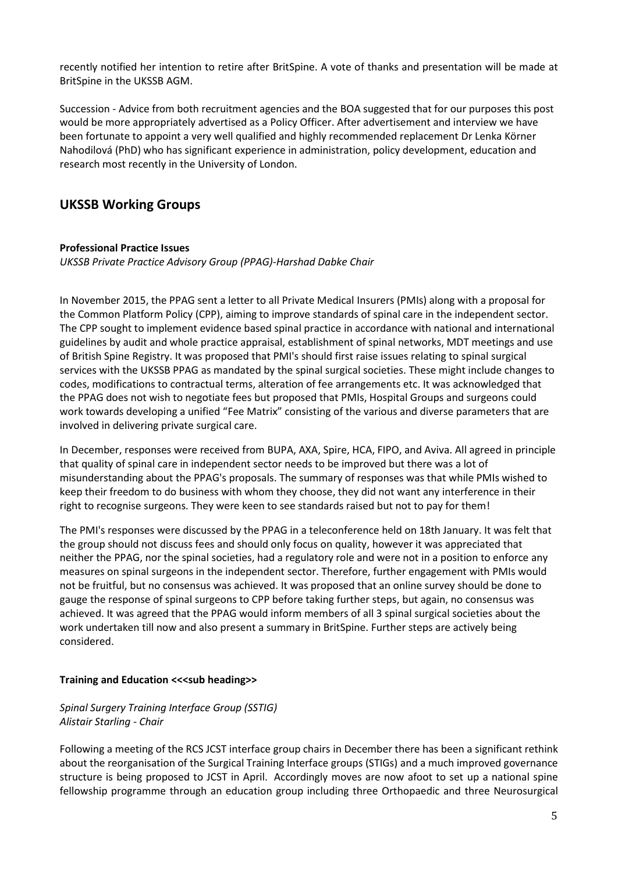recently notified her intention to retire after BritSpine. A vote of thanks and presentation will be made at BritSpine in the UKSSB AGM.

Succession - Advice from both recruitment agencies and the BOA suggested that for our purposes this post would be more appropriately advertised as a Policy Officer. After advertisement and interview we have been fortunate to appoint a very well qualified and highly recommended replacement Dr Lenka Körner Nahodilová (PhD) who has significant experience in administration, policy development, education and research most recently in the University of London.

# **UKSSB Working Groups**

### **Professional Practice Issues**

*UKSSB Private Practice Advisory Group (PPAG)-Harshad Dabke Chair*

In November 2015, the PPAG sent a letter to all Private Medical Insurers (PMIs) along with a proposal for the Common Platform Policy (CPP), aiming to improve standards of spinal care in the independent sector. The CPP sought to implement evidence based spinal practice in accordance with national and international guidelines by audit and whole practice appraisal, establishment of spinal networks, MDT meetings and use of British Spine Registry. It was proposed that PMI's should first raise issues relating to spinal surgical services with the UKSSB PPAG as mandated by the spinal surgical societies. These might include changes to codes, modifications to contractual terms, alteration of fee arrangements etc. It was acknowledged that the PPAG does not wish to negotiate fees but proposed that PMIs, Hospital Groups and surgeons could work towards developing a unified "Fee Matrix" consisting of the various and diverse parameters that are involved in delivering private surgical care.

In December, responses were received from BUPA, AXA, Spire, HCA, FIPO, and Aviva. All agreed in principle that quality of spinal care in independent sector needs to be improved but there was a lot of misunderstanding about the PPAG's proposals. The summary of responses was that while PMIs wished to keep their freedom to do business with whom they choose, they did not want any interference in their right to recognise surgeons. They were keen to see standards raised but not to pay for them!

The PMI's responses were discussed by the PPAG in a teleconference held on 18th January. It was felt that the group should not discuss fees and should only focus on quality, however it was appreciated that neither the PPAG, nor the spinal societies, had a regulatory role and were not in a position to enforce any measures on spinal surgeons in the independent sector. Therefore, further engagement with PMIs would not be fruitful, but no consensus was achieved. It was proposed that an online survey should be done to gauge the response of spinal surgeons to CPP before taking further steps, but again, no consensus was achieved. It was agreed that the PPAG would inform members of all 3 spinal surgical societies about the work undertaken till now and also present a summary in BritSpine. Further steps are actively being considered.

### **Training and Education <<<sub heading>>**

# *Spinal Surgery Training Interface Group (SSTIG) Alistair Starling - Chair*

Following a meeting of the RCS JCST interface group chairs in December there has been a significant rethink about the reorganisation of the Surgical Training Interface groups (STIGs) and a much improved governance structure is being proposed to JCST in April. Accordingly moves are now afoot to set up a national spine fellowship programme through an education group including three Orthopaedic and three Neurosurgical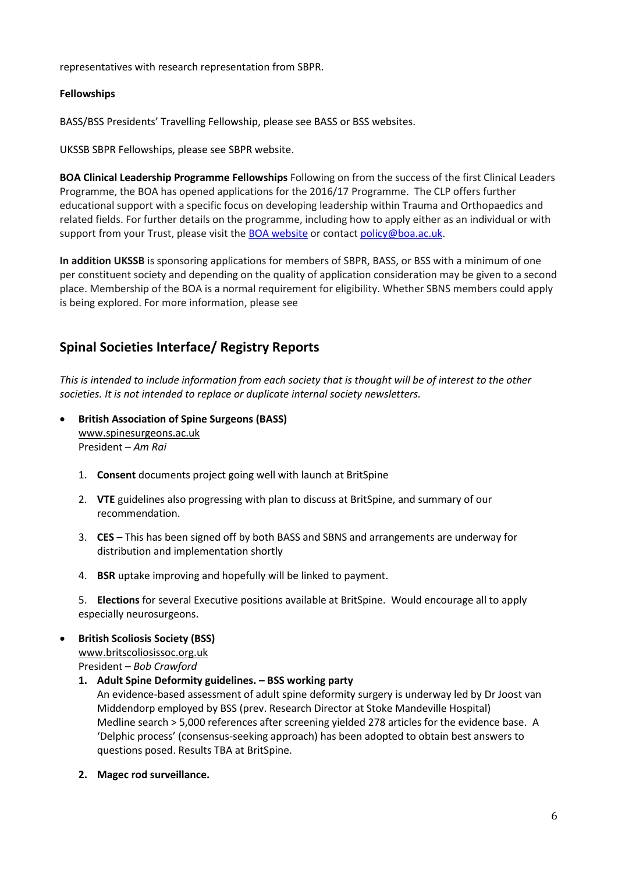representatives with research representation from SBPR.

## **Fellowships**

BASS/BSS Presidents' Travelling Fellowship, please see BASS or BSS websites.

UKSSB SBPR Fellowships, please see SBPR website.

**BOA Clinical Leadership Programme Fellowships** Following on from the success of the first Clinical Leaders Programme, the BOA has opened applications for the 2016/17 Programme. The CLP offers further educational support with a specific focus on developing leadership within Trauma and Orthopaedics and related fields. For further details on the programme, including how to apply either as an individual or with support from your Trust, please visit the **BOA website or contac[t policy@boa.ac.uk.](mailto:policy@boa.ac.uk)** 

**In addition UKSSB** is sponsoring applications for members of SBPR, BASS, or BSS with a minimum of one per constituent society and depending on the quality of application consideration may be given to a second place. Membership of the BOA is a normal requirement for eligibility. Whether SBNS members could apply is being explored. For more information, please see

# **Spinal Societies Interface/ Registry Reports**

*This is intended to include information from each society that is thought will be of interest to the other societies. It is not intended to replace or duplicate internal society newsletters.* 

- **British Association of Spine Surgeons (BASS)** [www.spinesurgeons.ac.uk](http://www.spinesurgeons.ac.uk/) President – *Am Rai*
	- 1. **Consent** documents project going well with launch at BritSpine
	- 2. **VTE** guidelines also progressing with plan to discuss at BritSpine, and summary of our recommendation.
	- 3. **CES** This has been signed off by both BASS and SBNS and arrangements are underway for distribution and implementation shortly
	- 4. **BSR** uptake improving and hopefully will be linked to payment.

5. **Elections** for several Executive positions available at BritSpine. Would encourage all to apply especially neurosurgeons.

**British Scoliosis Society (BSS)**

[www.britscoliosissoc.org.uk](http://www.britscoliosissoc.org.uk/)

President – *Bob Crawford*

**1. Adult Spine Deformity guidelines. – BSS working party** 

An evidence-based assessment of adult spine deformity surgery is underway led by Dr Joost van Middendorp employed by BSS (prev. Research Director at Stoke Mandeville Hospital) Medline search > 5,000 references after screening yielded 278 articles for the evidence base. A 'Delphic process' (consensus-seeking approach) has been adopted to obtain best answers to questions posed. Results TBA at BritSpine.

**2. Magec rod surveillance.**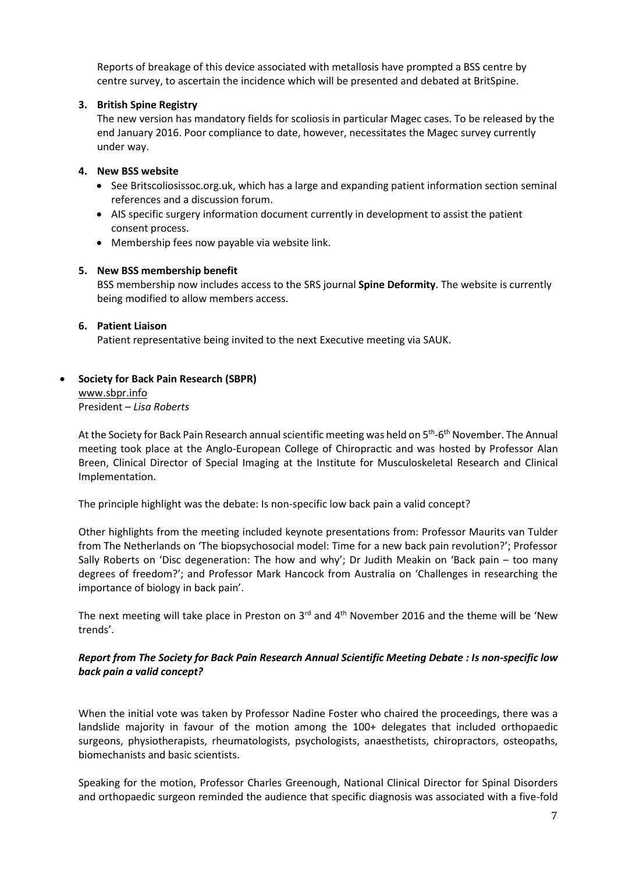Reports of breakage of this device associated with metallosis have prompted a BSS centre by centre survey, to ascertain the incidence which will be presented and debated at BritSpine.

# **3. British Spine Registry**

The new version has mandatory fields for scoliosis in particular Magec cases. To be released by the end January 2016. Poor compliance to date, however, necessitates the Magec survey currently under way.

### **4. New BSS website**

- See Britscoliosissoc.org.uk, which has a large and expanding patient information section seminal references and a discussion forum.
- AIS specific surgery information document currently in development to assist the patient consent process.
- Membership fees now payable via website link.

### **5. New BSS membership benefit**

BSS membership now includes access to the SRS journal **Spine Deformity**. The website is currently being modified to allow members access.

### **6. Patient Liaison**

Patient representative being invited to the next Executive meeting via SAUK.

# **Society for Back Pain Research (SBPR)**

[www.sbpr.info](http://www.sbpr.info/) President – *Lisa Roberts*

At the Society for Back Pain Research annual scientific meeting was held on 5<sup>th</sup>-6<sup>th</sup> November. The Annual meeting took place at the Anglo-European College of Chiropractic and was hosted by Professor Alan Breen, Clinical Director of Special Imaging at the Institute for Musculoskeletal Research and Clinical Implementation.

The principle highlight was the debate: Is non-specific low back pain a valid concept?

Other highlights from the meeting included keynote presentations from: Professor Maurits van Tulder from The Netherlands on 'The biopsychosocial model: Time for a new back pain revolution?'; Professor Sally Roberts on 'Disc degeneration: The how and why'; Dr Judith Meakin on 'Back pain – too many degrees of freedom?'; and Professor Mark Hancock from Australia on 'Challenges in researching the importance of biology in back pain'.

The next meeting will take place in Preston on  $3^{rd}$  and  $4^{th}$  November 2016 and the theme will be 'New trends'.

# *Report from The Society for Back Pain Research Annual Scientific Meeting Debate : Is non-specific low back pain a valid concept?*

When the initial vote was taken by Professor Nadine Foster who chaired the proceedings, there was a landslide majority in favour of the motion among the 100+ delegates that included orthopaedic surgeons, physiotherapists, rheumatologists, psychologists, anaesthetists, chiropractors, osteopaths, biomechanists and basic scientists.

Speaking for the motion, Professor Charles Greenough, National Clinical Director for Spinal Disorders and orthopaedic surgeon reminded the audience that specific diagnosis was associated with a five-fold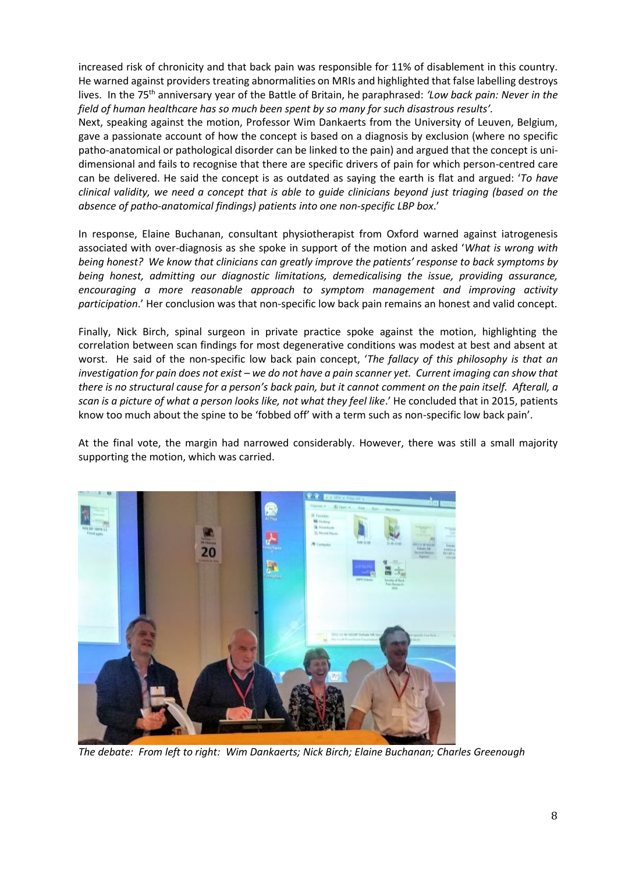increased risk of chronicity and that back pain was responsible for 11% of disablement in this country. He warned against providers treating abnormalities on MRIs and highlighted that false labelling destroys lives. In the 75<sup>th</sup> anniversary year of the Battle of Britain, he paraphrased: 'Low back pain: Never in the *field of human healthcare has so much been spent by so many for such disastrous results'.*

Next, speaking against the motion, Professor Wim Dankaerts from the University of Leuven, Belgium, gave a passionate account of how the concept is based on a diagnosis by exclusion (where no specific patho-anatomical or pathological disorder can be linked to the pain) and argued that the concept is unidimensional and fails to recognise that there are specific drivers of pain for which person-centred care can be delivered. He said the concept is as outdated as saying the earth is flat and argued: '*To have clinical validity, we need a concept that is able to guide clinicians beyond just triaging (based on the absence of patho-anatomical findings) patients into one non-specific LBP box*.'

In response, Elaine Buchanan, consultant physiotherapist from Oxford warned against iatrogenesis associated with over-diagnosis as she spoke in support of the motion and asked '*What is wrong with being honest? We know that clinicians can greatly improve the patients' response to back symptoms by being honest, admitting our diagnostic limitations, demedicalising the issue, providing assurance, encouraging a more reasonable approach to symptom management and improving activity participation*.' Her conclusion was that non-specific low back pain remains an honest and valid concept.

Finally, Nick Birch, spinal surgeon in private practice spoke against the motion, highlighting the correlation between scan findings for most degenerative conditions was modest at best and absent at worst. He said of the non-specific low back pain concept, '*The fallacy of this philosophy is that an investigation for pain does not exist – we do not have a pain scanner yet. Current imaging can show that there is no structural cause for a person's back pain, but it cannot comment on the pain itself. Afterall, a scan is a picture of what a person looks like, not what they feel like*.' He concluded that in 2015, patients know too much about the spine to be 'fobbed off' with a term such as non-specific low back pain'.

At the final vote, the margin had narrowed considerably. However, there was still a small majority supporting the motion, which was carried.



*The debate: From left to right: Wim Dankaerts; Nick Birch; Elaine Buchanan; Charles Greenough*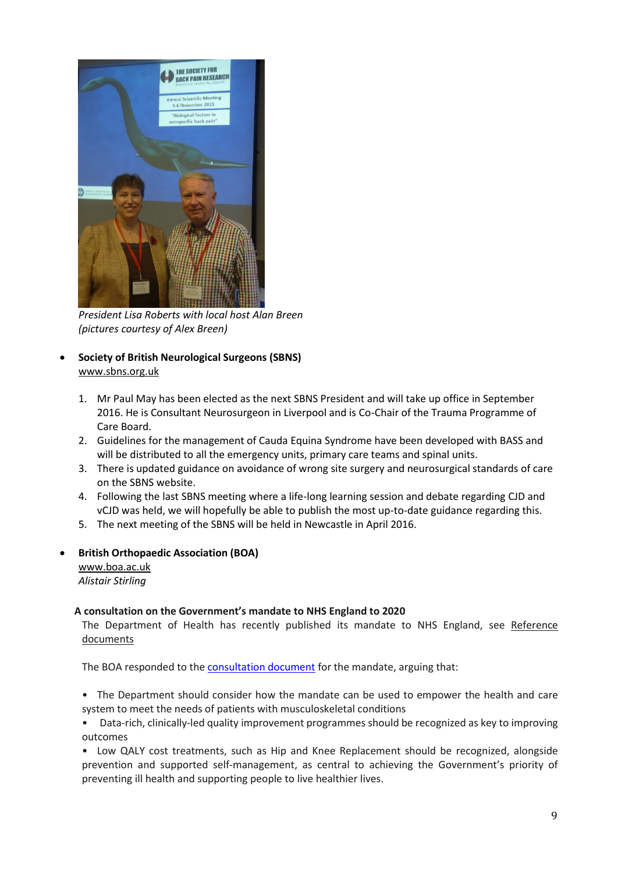

*President Lisa Roberts with local host Alan Breen (pictures courtesy of Alex Breen)*

- **Society of British Neurological Surgeons (SBNS)** [www.sbns.org.uk](http://www.sbns.org.uk/)
	- 1. Mr Paul May has been elected as the next SBNS President and will take up office in September 2016. He is Consultant Neurosurgeon in Liverpool and is Co-Chair of the Trauma Programme of Care Board.
	- 2. Guidelines for the management of Cauda Equina Syndrome have been developed with BASS and will be distributed to all the emergency units, primary care teams and spinal units.
	- 3. There is updated guidance on avoidance of wrong site surgery and neurosurgical standards of care on the SBNS website.
	- 4. Following the last SBNS meeting where a life-long learning session and debate regarding CJD and vCJD was held, we will hopefully be able to publish the most up-to-date guidance regarding this.
	- 5. The next meeting of the SBNS will be held in Newcastle in April 2016.

### **British Orthopaedic Association (BOA)**

[www.boa.ac.uk](http://www.boa.ac.uk/) *Alistair Stirling*

### **A consultation on the Government's mandate to NHS England to 2020**

The Department of Health has recently published its mandate to NHS England, see Reference documents

The BOA responded to the [consultation document](http://boa.us4.list-manage1.com/track/click?u=2242b78af1af1962af0ac2da8&id=bef96d06e6&e=de0509896c) for the mandate, arguing that:

• The Department should consider how the mandate can be used to empower the health and care system to meet the needs of patients with musculoskeletal conditions

• Data-rich, clinically-led quality improvement programmes should be recognized as key to improving outcomes

• Low QALY cost treatments, such as Hip and Knee Replacement should be recognized, alongside prevention and supported self-management, as central to achieving the Government's priority of preventing ill health and supporting people to live healthier lives.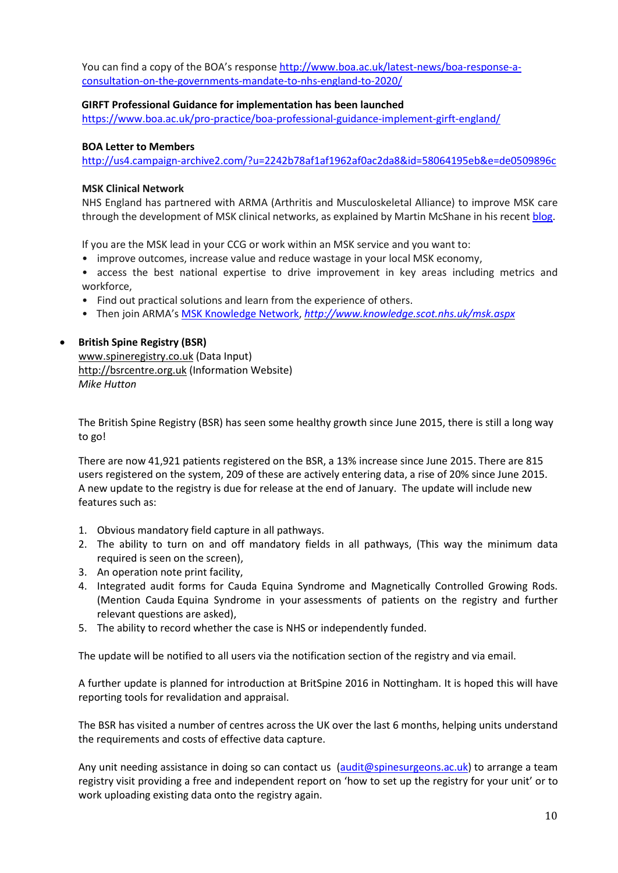You can find a copy of the BOA's respons[e http://www.boa.ac.uk/latest-news/boa-response-a](http://www.boa.ac.uk/latest-news/boa-response-a-consultation-on-the-governments-mandate-to-nhs-england-to-2020/)[consultation-on-the-governments-mandate-to-nhs-england-to-2020/](http://www.boa.ac.uk/latest-news/boa-response-a-consultation-on-the-governments-mandate-to-nhs-england-to-2020/)

### **GIRFT Professional Guidance for implementation has been launched**

<https://www.boa.ac.uk/pro-practice/boa-professional-guidance-implement-girft-england/>

### **BOA Letter to Members**

<http://us4.campaign-archive2.com/?u=2242b78af1af1962af0ac2da8&id=58064195eb&e=de0509896c>

### **MSK Clinical Network**

NHS England has partnered with ARMA (Arthritis and Musculoskeletal Alliance) to improve MSK care through the development of MSK clinical networks, as explained by Martin McShane in his recen[t blog.](http://boa.us4.list-manage.com/track/click?u=2242b78af1af1962af0ac2da8&id=b2eafbd720&e=de0509896c)

If you are the MSK lead in your CCG or work within an MSK service and you want to:

- improve outcomes, increase value and reduce wastage in your local MSK economy,
- access the best national expertise to drive improvement in key areas including metrics and workforce,
- Find out practical solutions and learn from the experience of others.
- Then join ARMA's [MSK Knowledge Network,](http://boa.us4.list-manage.com/track/click?u=2242b78af1af1962af0ac2da8&id=48e09d1245&e=de0509896c) *<http://www.knowledge.scot.nhs.uk/msk.aspx>*

# **•** British Spine Registry (BSR)

[www.spineregistry.co.uk](http://www.spineregistry.co.uk/) (Data Input) [http://bsrcentre.org.uk](http://bsrcentre.org.uk/) (Information Website) *Mike Hutton*

The British Spine Registry (BSR) has seen some healthy growth since June 2015, there is still a long way to go!

There are now 41,921 patients registered on the BSR, a 13% increase since June 2015. There are 815 users registered on the system, 209 of these are actively entering data, a rise of 20% since June 2015. A new update to the registry is due for release at the end of January. The update will include new features such as:

- 1. Obvious mandatory field capture in all pathways.
- 2. The ability to turn on and off mandatory fields in all pathways, (This way the minimum data required is seen on the screen),
- 3. An operation note print facility,
- 4. Integrated audit forms for Cauda Equina Syndrome and Magnetically Controlled Growing Rods. (Mention Cauda Equina Syndrome in your assessments of patients on the registry and further relevant questions are asked),
- 5. The ability to record whether the case is NHS or independently funded.

The update will be notified to all users via the notification section of the registry and via email.

A further update is planned for introduction at BritSpine 2016 in Nottingham. It is hoped this will have reporting tools for revalidation and appraisal.

The BSR has visited a number of centres across the UK over the last 6 months, helping units understand the requirements and costs of effective data capture.

Any unit needing assistance in doing so can contact us [\(audit@spinesurgeons.ac.uk\)](mailto:audit@spinesurgeons.ac.uk) to arrange a team registry visit providing a free and independent report on 'how to set up the registry for your unit' or to work uploading existing data onto the registry again.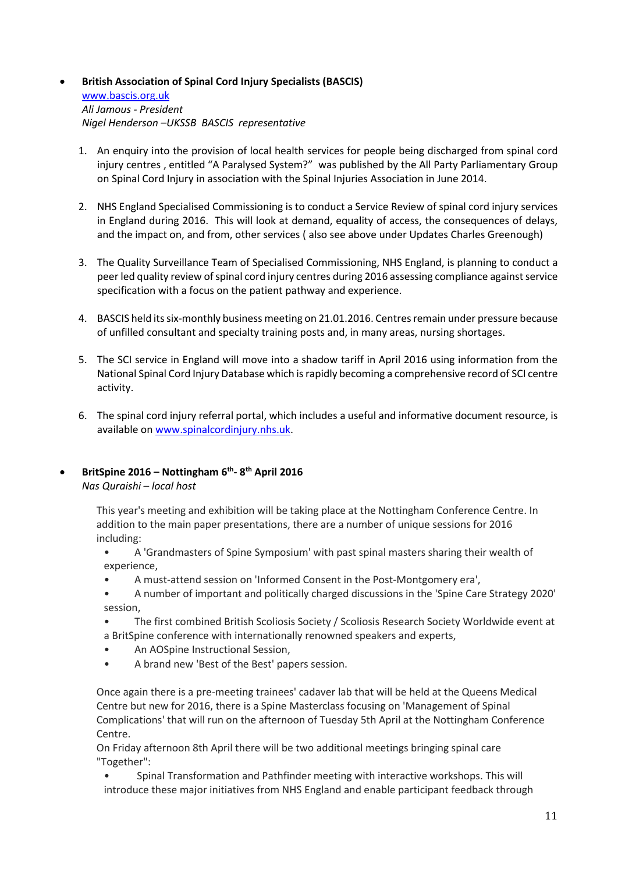# **British Association of Spinal Cord Injury Specialists (BASCIS)**  [www.bascis.org.uk](http://www.bascis.org.uk/) *Ali Jamous - President Nigel Henderson –UKSSB BASCIS representative*

- 1. An enquiry into the provision of local health services for people being discharged from spinal cord injury centres , entitled "A Paralysed System?" was published by the All Party Parliamentary Group on Spinal Cord Injury in association with the Spinal Injuries Association in June 2014.
- 2. NHS England Specialised Commissioning is to conduct a Service Review of spinal cord injury services in England during 2016. This will look at demand, equality of access, the consequences of delays, and the impact on, and from, other services ( also see above under Updates Charles Greenough)
- 3. The Quality Surveillance Team of Specialised Commissioning, NHS England, is planning to conduct a peer led quality review of spinal cord injury centres during 2016 assessing compliance against service specification with a focus on the patient pathway and experience.
- 4. BASCIS held its six-monthly business meeting on 21.01.2016. Centres remain under pressure because of unfilled consultant and specialty training posts and, in many areas, nursing shortages.
- 5. The SCI service in England will move into a shadow tariff in April 2016 using information from the National Spinal Cord Injury Database which is rapidly becoming a comprehensive record of SCI centre activity.
- 6. The spinal cord injury referral portal, which includes a useful and informative document resource, is available on [www.spinalcordinjury.nhs.uk.](http://www.spinalcordinjury.nhs.uk/)

# **BritSpine 2016 – Nottingham 6 th - 8 th April 2016**

*Nas Quraishi* – *local host* 

This year's meeting and exhibition will be taking place at the Nottingham Conference Centre. In addition to the main paper presentations, there are a number of unique sessions for 2016 including:

- A 'Grandmasters of Spine Symposium' with past spinal masters sharing their wealth of experience,
- A must-attend session on 'Informed Consent in the Post-Montgomery era',
- A number of important and politically charged discussions in the 'Spine Care Strategy 2020' session,
- The first combined British Scoliosis Society / Scoliosis Research Society Worldwide event at a BritSpine conference with internationally renowned speakers and experts,
- An AOSpine Instructional Session,
- A brand new 'Best of the Best' papers session.

Once again there is a pre-meeting trainees' cadaver lab that will be held at the Queens Medical Centre but new for 2016, there is a Spine Masterclass focusing on 'Management of Spinal Complications' that will run on the afternoon of Tuesday 5th April at the Nottingham Conference Centre.

On Friday afternoon 8th April there will be two additional meetings bringing spinal care "Together":

• Spinal Transformation and Pathfinder meeting with interactive workshops. This will introduce these major initiatives from NHS England and enable participant feedback through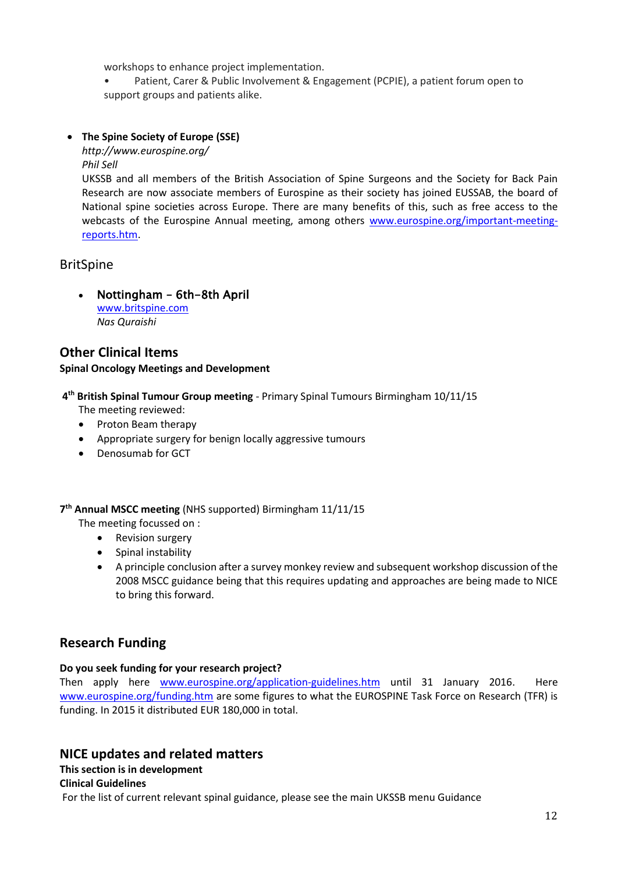workshops to enhance project implementation.

• Patient, Carer & Public Involvement & Engagement (PCPIE), a patient forum open to support groups and patients alike.

# **The Spine Society of Europe (SSE)**

*http://www.eurospine.org/ Phil Sell*

UKSSB and all members of the British Association of Spine Surgeons and the Society for Back Pain Research are now associate members of Eurospine as their society has joined EUSSAB, the board of National spine societies across Europe. There are many benefits of this, such as free access to the webcasts of the Eurospine Annual meeting, among others [www.eurospine.org/important-meeting](http://www.eurospine.org/important-meeting-reports.htm)[reports.htm.](http://www.eurospine.org/important-meeting-reports.htm)

# BritSpine

• Nottingham - 6th-8th April

[www.britspine.com](http://www.britspine.com/) *Nas Quraishi*

## **Other Clinical Items Spinal Oncology Meetings and Development**

**4 th British Spinal Tumour Group meeting** - Primary Spinal Tumours Birmingham 10/11/15

- The meeting reviewed:
- Proton Beam therapy
- Appropriate surgery for benign locally aggressive tumours
- Denosumab for GCT

**7 th Annual MSCC meeting** (NHS supported) Birmingham 11/11/15

- The meeting focussed on :
	- Revision surgery
	- Spinal instability
	- A principle conclusion after a survey monkey review and subsequent workshop discussion of the 2008 MSCC guidance being that this requires updating and approaches are being made to NICE to bring this forward.

# **Research Funding**

# **Do you seek funding for your research project?**

Then apply here [www.eurospine.org/application-guidelines.htm](http://www.eurospine.org/application-guidelines.htm) until 31 January 2016. Here [www.eurospine.org/funding.htm](http://www.eurospine.org/funding.htm) are some figures to what the EUROSPINE Task Force on Research (TFR) is funding. In 2015 it distributed EUR 180,000 in total.

# **NICE updates and related matters**

# **This section is in development**

# **Clinical Guidelines**

For the list of current relevant spinal guidance, please see the main UKSSB menu Guidance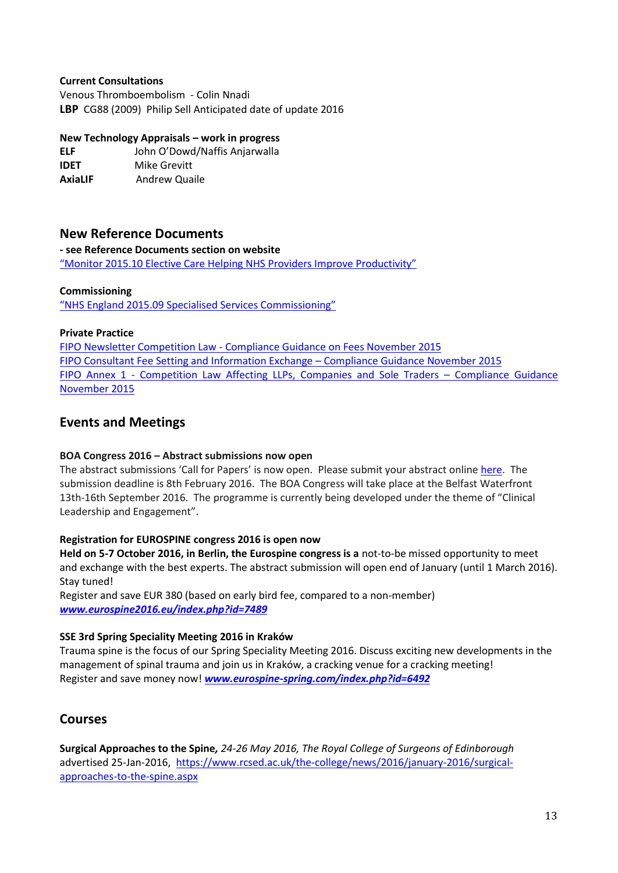### **Current Consultations**

Venous Thromboembolism - Colin Nnadi **LBP** CG88 (2009) Philip Sell Anticipated date of update 2016

### **New Technology Appraisals – work in progress**

**ELF** John O'Dowd/Naffis Anjarwalla **IDET** Mike Grevitt **AxiaLIF Andrew Quaile** 

# **New Reference Documents**

**- see Reference Documents section on website**

["Monitor 2015.10 Elective Care Helping NHS Providers Improve Productivity"](http://www.ukssb.com/assets/PDFs/Reference-Docs/Monitor-2015.10-Elective-Care-Helping-NHS-Providers-Improve-Productivity.pdf)

### **Commissioning**

["NHS England 2015.09 Specialised Services Commissioning"](http://www.england.nhs.uk/commissioning/wp-content/uploads/sites/12/2015/09/comms-intents-16-17.pdf)

### **Private Practice**

FIPO Newsletter Competition Law - [Compliance Guidance on Fees November 2015](http://www.ukssb.com/assets/PDFs/Reference-Docs/Private-Practice/FIPO-Newsletter-On-Fee-Compliance-November-2015.pdf) [FIPO Consultant Fee Setting and Information Exchange](http://www.spinesurgeons.ac.uk/data/documents/FIPO%20Fee%20Setting%20and%20Competition%20Compliance%20Guidance%20Nov%202015.pdf) – Compliance Guidance November 2015 FIPO Annex 1 - [Competition Law Affecting LLPs, Companies and Sole Traders](http://www.spinesurgeons.ac.uk/data/documents/FIPO%20Annex%201%20-%20Competition%20Law%20Compliance%20Guidance%20-%20Annex%201%20Nov%202015.pdf) - Compliance Guidance [November 2015](http://www.spinesurgeons.ac.uk/data/documents/FIPO%20Annex%201%20-%20Competition%20Law%20Compliance%20Guidance%20-%20Annex%201%20Nov%202015.pdf)

# **Events and Meetings**

### **BOA Congress 2016 – Abstract submissions now open**

The abstract submissions 'Call for Papers' is now open. Please submit your abstract onlin[e here.](http://boa.us4.list-manage.com/track/click?u=2242b78af1af1962af0ac2da8&id=ac1f0cff21&e=de0509896c) The submission deadline is 8th February 2016. The BOA Congress will take place at the Belfast Waterfront 13th-16th September 2016. The programme is currently being developed under the theme of "Clinical Leadership and Engagement".

### **Registration for EUROSPINE congress 2016 is open now**

**Held on 5-7 October 2016, in Berlin, the Eurospine congress is a** not-to-be missed opportunity to meet and exchange with the best experts. The abstract submission will open end of January (until 1 March 2016). Stay tuned!

Register and save EUR 380 (based on early bird fee, compared to a non-member) *[www.eurospine2016.eu/index.php?id=7489](http://www.eurospine2016.eu/index.php?id=7489)*

### **SSE 3rd Spring Speciality Meeting 2016 in Kraków**

Trauma spine is the focus of our Spring Speciality Meeting 2016. Discuss exciting new developments in the management of spinal trauma and join us in Kraków, a cracking venue for a cracking meeting! Register and save money now! *[www.eurospine-spring.com/index.php?id=6492](http://www.eurospine-spring.com/index.php?id=6492)*

# **Courses**

**Surgical Approaches to the Spine***, 24-26 May 2016, The Royal College of Surgeons of Edinborough*  advertised 25-Jan-2016, [https://www.rcsed.ac.uk/the-college/news/2016/january-2016/surgical](https://www.rcsed.ac.uk/the-college/news/2016/january-2016/surgical-approaches-to-the-spine.aspx)[approaches-to-the-spine.aspx](https://www.rcsed.ac.uk/the-college/news/2016/january-2016/surgical-approaches-to-the-spine.aspx)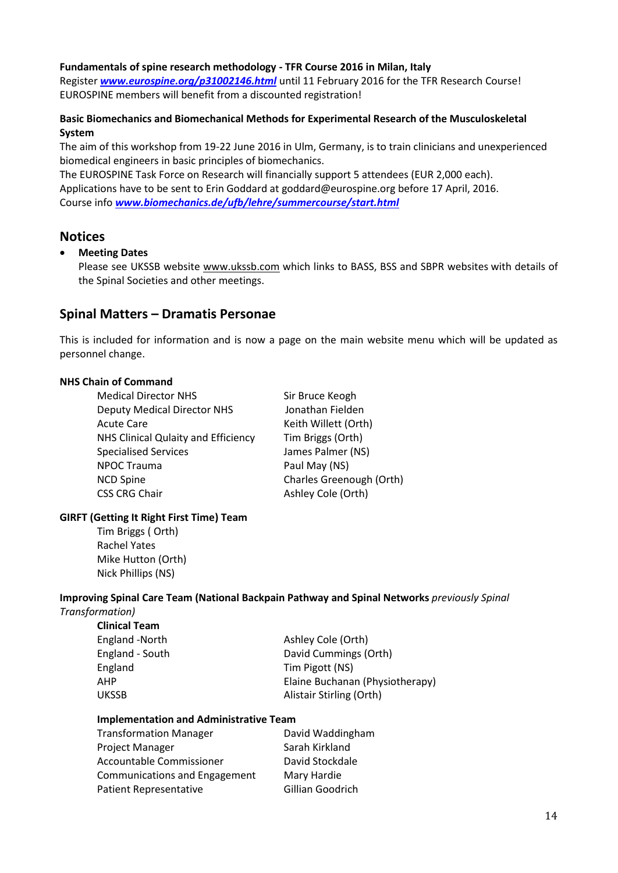### **Fundamentals of spine research methodology - TFR Course 2016 in Milan, Italy**

Register *[www.eurospine.org/p31002146.html](http://www.eurospine.org/p31002146.html)* until 11 February 2016 for the TFR Research Course! EUROSPINE members will benefit from a discounted registration!

## **Basic Biomechanics and Biomechanical Methods for Experimental Research of the Musculoskeletal System**

The aim of this workshop from 19-22 June 2016 in Ulm, Germany, is to train clinicians and unexperienced biomedical engineers in basic principles of biomechanics.

The EUROSPINE Task Force on Research will financially support 5 attendees (EUR 2,000 each). Applications have to be sent to Erin Goddard a[t goddard@eurospine.org](mailto:goddard@eurospine.org) before 17 April, 2016. Course info *[www.biomechanics.de/ufb/lehre/summercourse/start.html](http://www.biomechanics.de/ufb/lehre/summercourse/start.html)*

# **Notices**

## **Meeting Dates**

Please see UKSSB website [www.ukssb.com](http://www.ukssb.com/) which links to BASS, BSS and SBPR websites with details of the Spinal Societies and other meetings.

# **Spinal Matters – Dramatis Personae**

This is included for information and is now a page on the main website menu which will be updated as personnel change.

### **NHS Chain of Command**

| <b>Medical Director NHS</b>         | Sir Bruce Keogh          |
|-------------------------------------|--------------------------|
| <b>Deputy Medical Director NHS</b>  | Jonathan Fielden         |
| <b>Acute Care</b>                   | Keith Willett (Orth)     |
| NHS Clinical Qulaity and Efficiency | Tim Briggs (Orth)        |
| <b>Specialised Services</b>         | James Palmer (NS)        |
| <b>NPOC Trauma</b>                  | Paul May (NS)            |
| <b>NCD Spine</b>                    | Charles Greenough (Orth) |
| CSS CRG Chair                       | Ashley Cole (Orth)       |
|                                     |                          |

### **GIRFT (Getting It Right First Time) Team**

Tim Briggs ( Orth) Rachel Yates Mike Hutton (Orth) Nick Phillips (NS)

#### **Improving Spinal Care Team (National Backpain Pathway and Spinal Networks** *previously Spinal Transformation)*

**Clinical Team**

| Cililical Tealli |                                 |
|------------------|---------------------------------|
| England -North   | Ashley Cole (Orth)              |
| England - South  | David Cummings (Orth)           |
| England          | Tim Pigott (NS)                 |
| AHP              | Elaine Buchanan (Physiotherapy) |
| <b>UKSSB</b>     | Alistair Stirling (Orth)        |
|                  |                                 |

### **Implementation and Administrative Team**

| <b>Transformation Manager</b>   | David Waddingham |
|---------------------------------|------------------|
| Project Manager                 | Sarah Kirkland   |
| <b>Accountable Commissioner</b> | David Stockdale  |
| Communications and Engagement   | Mary Hardie      |
| <b>Patient Representative</b>   | Gillian Goodrich |